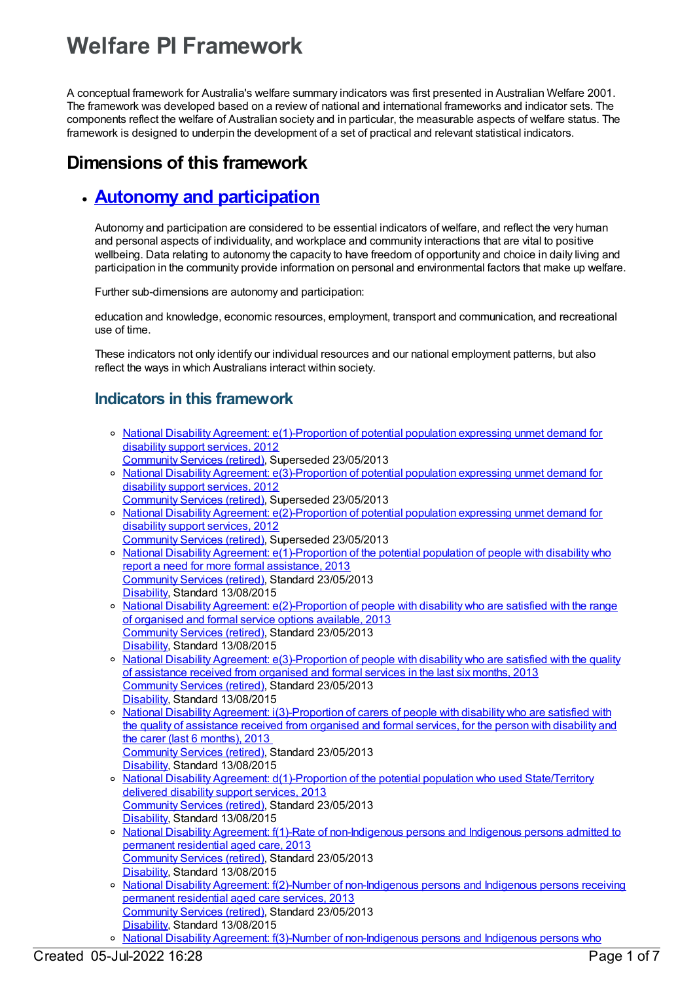# **Welfare PI Framework**

A conceptual framework for Australia's welfare summary indicators was first presented in Australian Welfare 2001. The framework was developed based on a review of national and international frameworks and indicator sets. The components reflect the welfare of Australian society and in particular, the measurable aspects of welfare status. The framework is designed to underpin the development of a set of practical and relevant statistical indicators.

## **Dimensions of this framework**

## **Autonomy and [participation](https://meteor.aihw.gov.au/content/392703)**

Autonomy and participation are considered to be essential indicators of welfare, and reflect the very human and personal aspects of individuality, and workplace and community interactions that are vital to positive wellbeing. Data relating to autonomy the capacity to have freedom of opportunity and choice in daily living and participation in the community provide information on personal and environmental factors that make up welfare.

Further sub-dimensions are autonomy and participation:

education and knowledge, economic resources, employment, transport and communication, and recreational use of time.

These indicators not only identify our individual resources and our national employment patterns, but also reflect the ways in which Australians interact within society.

## **Indicators in this framework**

- National Disability Agreement: [e\(1\)-Proportion](https://meteor.aihw.gov.au/content/467936) of potential population expressing unmet demand for disability support services, 2012 [Community](https://meteor.aihw.gov.au/RegistrationAuthority/1) Services (retired), Superseded 23/05/2013
- National Disability Agreement: [e\(3\)-Proportion](https://meteor.aihw.gov.au/content/467941) of potential population expressing unmet demand for disability support services, 2012 [Community](https://meteor.aihw.gov.au/RegistrationAuthority/1) Services (retired), Superseded 23/05/2013
- National Disability Agreement: [e\(2\)-Proportion](https://meteor.aihw.gov.au/content/467938) of potential population expressing unmet demand for disability support services, 2012
- [Community](https://meteor.aihw.gov.au/RegistrationAuthority/1) Services (retired), Superseded 23/05/2013
- o National Disability Agreement: [e\(1\)-Proportion](https://meteor.aihw.gov.au/content/491943) of the potential population of people with disability who report a need for more formal assistance, 2013 [Community](https://meteor.aihw.gov.au/RegistrationAuthority/1) Services (retired), Standard 23/05/2013 [Disability](https://meteor.aihw.gov.au/RegistrationAuthority/16), Standard 13/08/2015
- o National Disability Agreement: [e\(2\)-Proportion](https://meteor.aihw.gov.au/content/491945) of people with disability who are satisfied with the range of organised and formal service options available, 2013 [Community](https://meteor.aihw.gov.au/RegistrationAuthority/1) Services (retired), Standard 23/05/2013 [Disability](https://meteor.aihw.gov.au/RegistrationAuthority/16), Standard 13/08/2015
- National Disability Agreement: [e\(3\)-Proportion](https://meteor.aihw.gov.au/content/491947) of people with disability who are satisfied with the quality of assistance received from organised and formal services in the last six months, 2013 [Community](https://meteor.aihw.gov.au/RegistrationAuthority/1) Services (retired), Standard 23/05/2013 [Disability](https://meteor.aihw.gov.au/RegistrationAuthority/16), Standard 13/08/2015
- National Disability Agreement: [i\(3\)-Proportion](https://meteor.aihw.gov.au/content/519120) of carers of people with disability who are satisfied with the quality of assistance received from organised and formal services, for the person with disability and the carer (last 6 months), 2013 [Community](https://meteor.aihw.gov.au/RegistrationAuthority/1) Services (retired), Standard 23/05/2013 [Disability](https://meteor.aihw.gov.au/RegistrationAuthority/16), Standard 13/08/2015
- o National Disability Agreement: [d\(1\)-Proportion](https://meteor.aihw.gov.au/content/491941) of the potential population who used State/Territory delivered disability support services, 2013 [Community](https://meteor.aihw.gov.au/RegistrationAuthority/1) Services (retired), Standard 23/05/2013 [Disability](https://meteor.aihw.gov.au/RegistrationAuthority/16), Standard 13/08/2015
- o National Disability Agreement: f(1)-Rate of [non-Indigenous](https://meteor.aihw.gov.au/content/491949) persons and Indigenous persons admitted to permanent residential aged care, 2013 [Community](https://meteor.aihw.gov.au/RegistrationAuthority/1) Services (retired), Standard 23/05/2013 [Disability](https://meteor.aihw.gov.au/RegistrationAuthority/16), Standard 13/08/2015
- <sup>o</sup> National Disability Agreement: f(2)-Number of [non-Indigenous](https://meteor.aihw.gov.au/content/491951) persons and Indigenous persons receiving permanent residential aged care services, 2013 [Community](https://meteor.aihw.gov.au/RegistrationAuthority/1) Services (retired), Standard 23/05/2013 [Disability](https://meteor.aihw.gov.au/RegistrationAuthority/16), Standard 13/08/2015

National Disability Agreement: f(3)-Number of [non-Indigenous](https://meteor.aihw.gov.au/content/518794) persons and Indigenous persons who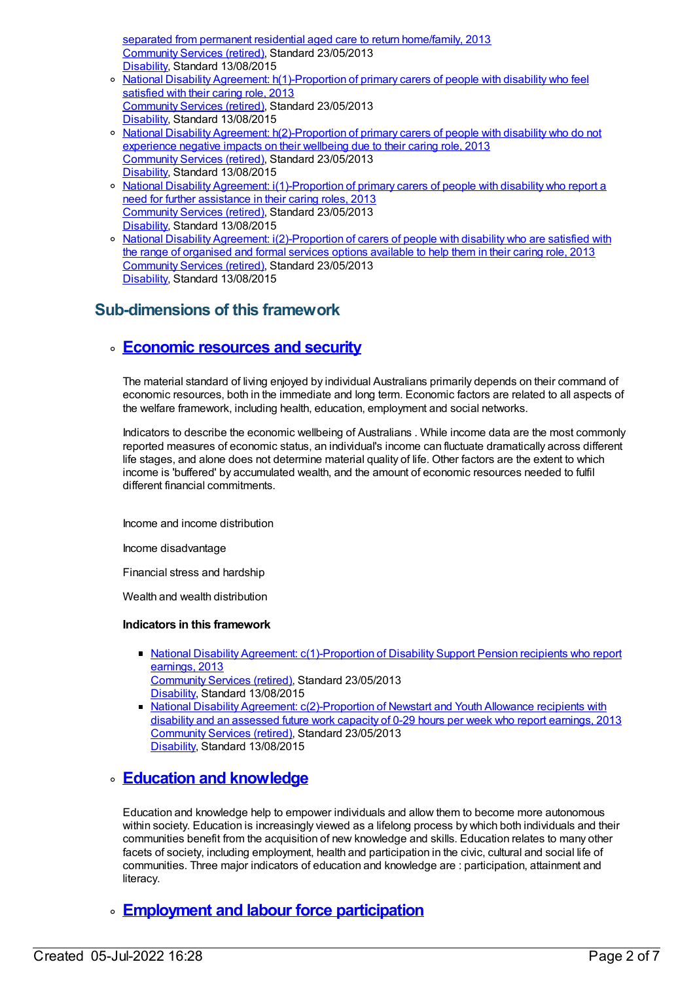separated from permanent residential aged care to return home/family, 2013 [Community](https://meteor.aihw.gov.au/RegistrationAuthority/1) Services (retired), Standard 23/05/2013 [Disability](https://meteor.aihw.gov.au/RegistrationAuthority/16), Standard 13/08/2015

- o National Disability Agreement: [h\(1\)-Proportion](https://meteor.aihw.gov.au/content/491960) of primary carers of people with disability who feel satisfied with their caring role, 2013 [Community](https://meteor.aihw.gov.au/RegistrationAuthority/1) Services (retired), Standard 23/05/2013 [Disability](https://meteor.aihw.gov.au/RegistrationAuthority/16), Standard 13/08/2015
- o National Disability Agreement: [h\(2\)-Proportion](https://meteor.aihw.gov.au/content/519113) of primary carers of people with disability who do not experience negative impacts on their wellbeing due to their caring role, 2013 [Community](https://meteor.aihw.gov.au/RegistrationAuthority/1) Services (retired), Standard 23/05/2013 [Disability](https://meteor.aihw.gov.au/RegistrationAuthority/16), Standard 13/08/2015
- o National Disability Agreement: [i\(1\)-Proportion](https://meteor.aihw.gov.au/content/491962) of primary carers of people with disability who report a need for further assistance in their caring roles, 2013 [Community](https://meteor.aihw.gov.au/RegistrationAuthority/1) Services (retired), Standard 23/05/2013 [Disability](https://meteor.aihw.gov.au/RegistrationAuthority/16), Standard 13/08/2015
- o National Disability Agreement: [i\(2\)-Proportion](https://meteor.aihw.gov.au/content/519118) of carers of people with disability who are satisfied with the range of organised and formal services options available to help them in their caring role, 2013 [Community](https://meteor.aihw.gov.au/RegistrationAuthority/1) Services (retired), Standard 23/05/2013 [Disability](https://meteor.aihw.gov.au/RegistrationAuthority/16), Standard 13/08/2015

## **Sub-dimensions of this framework**

## **[Economic](https://meteor.aihw.gov.au/content/392708) resources and security**

The material standard of living enjoyed by individual Australians primarily depends on their command of economic resources, both in the immediate and long term. Economic factors are related to all aspects of the welfare framework, including health, education, employment and social networks.

Indicators to describe the economic wellbeing of Australians . While income data are the most commonly reported measures of economic status, an individual's income can fluctuate dramatically across different life stages, and alone does not determine material quality of life. Other factors are the extent to which income is 'buffered' by accumulated wealth, and the amount of economic resources needed to fulfil different financial commitments.

Income and income distribution

Income disadvantage

Financial stress and hardship

Wealth and wealth distribution

#### **Indicators in this framework**

- National Disability Agreement: [c\(1\)-Proportion](https://meteor.aihw.gov.au/content/491937) of Disability Support Pension recipients who report earnings, 2013 [Community](https://meteor.aihw.gov.au/RegistrationAuthority/1) Services (retired), Standard 23/05/2013 [Disability](https://meteor.aihw.gov.au/RegistrationAuthority/16), Standard 13/08/2015
- National Disability Agreement: [c\(2\)-Proportion](https://meteor.aihw.gov.au/content/491939) of Newstart and Youth Allowance recipients with disability and an assessed future work capacity of 0-29 hours per week who report earnings, 2013 [Community](https://meteor.aihw.gov.au/RegistrationAuthority/1) Services (retired), Standard 23/05/2013 [Disability](https://meteor.aihw.gov.au/RegistrationAuthority/16), Standard 13/08/2015

### **Education and [knowledge](https://meteor.aihw.gov.au/content/392707)**

Education and knowledge help to empower individuals and allow them to become more autonomous within society. Education is increasingly viewed as a lifelong process by which both individuals and their communities benefit from the acquisition of new knowledge and skills. Education relates to many other facets of society, including employment, health and participation in the civic, cultural and social life of communities. Three major indicators of education and knowledge are : participation, attainment and literacy.

## **[Employment](https://meteor.aihw.gov.au/content/392706) and labour force participation**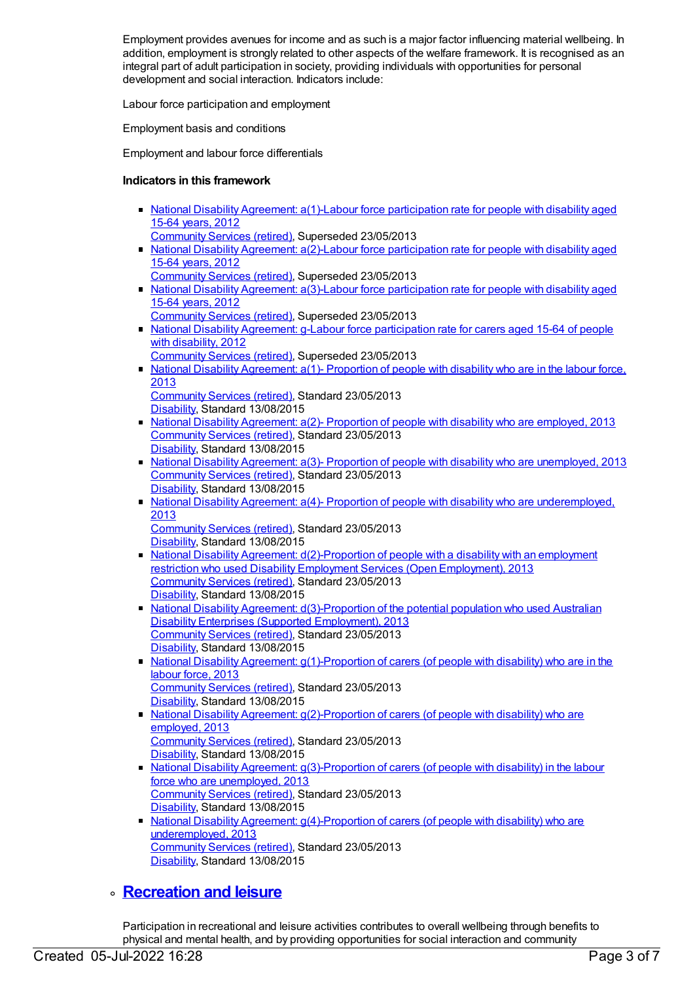Employment provides avenues for income and as such is a major factor influencing material wellbeing. In addition, employment is strongly related to other aspects of the welfare framework. It is recognised as an integral part of adult participation in society, providing individuals with opportunities for personal development and social interaction. Indicators include:

Labour force participation and employment

Employment basis and conditions

Employment and labour force differentials

#### **Indicators in this framework**

- National Disability Agreement: a(1)-Labour force [participation](https://meteor.aihw.gov.au/content/467773) rate for people with disability aged 15-64 years, 2012
- [Community](https://meteor.aihw.gov.au/RegistrationAuthority/1) Services (retired), Superseded 23/05/2013
- National Disability Agreement: a(2)-Labour force [participation](https://meteor.aihw.gov.au/content/467827) rate for people with disability aged 15-64 years, 2012
- [Community](https://meteor.aihw.gov.au/RegistrationAuthority/1) Services (retired), Superseded 23/05/2013
- National Disability Agreement: a(3)-Labour force [participation](https://meteor.aihw.gov.au/content/467831) rate for people with disability aged 15-64 years, 2012 [Community](https://meteor.aihw.gov.au/RegistrationAuthority/1) Services (retired), Superseded 23/05/2013
- National Disability Agreement: g-Labour force [participation](https://meteor.aihw.gov.au/content/467948) rate for carers aged 15-64 of people with disability, 2012
	- [Community](https://meteor.aihw.gov.au/RegistrationAuthority/1) Services (retired), Superseded 23/05/2013
- National Disability [Agreement:](https://meteor.aihw.gov.au/content/491923) a(1)- Proportion of people with disability who are in the labour force, 2013
	- [Community](https://meteor.aihw.gov.au/RegistrationAuthority/1) Services (retired), Standard 23/05/2013 [Disability](https://meteor.aihw.gov.au/RegistrationAuthority/16), Standard 13/08/2015
- National Disability [Agreement:](https://meteor.aihw.gov.au/content/491925)  $a(2)$  Proportion of people with disability who are employed, 2013 [Community](https://meteor.aihw.gov.au/RegistrationAuthority/1) Services (retired), Standard 23/05/2013 [Disability](https://meteor.aihw.gov.au/RegistrationAuthority/16), Standard 13/08/2015
- National Disability Agreement: a(3)- Proportion of people with disability who are [unemployed,](https://meteor.aihw.gov.au/content/491927) 2013 [Community](https://meteor.aihw.gov.au/RegistrationAuthority/1) Services (retired), Standard 23/05/2013 [Disability](https://meteor.aihw.gov.au/RegistrationAuthority/16), Standard 13/08/2015
- National Disability Agreement: a(4)- Proportion of people with disability who are [underemployed,](https://meteor.aihw.gov.au/content/514824) 2013
	- [Community](https://meteor.aihw.gov.au/RegistrationAuthority/1) Services (retired), Standard 23/05/2013 [Disability](https://meteor.aihw.gov.au/RegistrationAuthority/16), Standard 13/08/2015
- National Disability Agreement:  $d(2)$ -Proportion of people with a disability with an employment restriction who used Disability Employment Services (Open Employment), 2013 [Community](https://meteor.aihw.gov.au/RegistrationAuthority/1) Services (retired), Standard 23/05/2013 [Disability](https://meteor.aihw.gov.au/RegistrationAuthority/16), Standard 13/08/2015
- National Disability Agreement: [d\(3\)-Proportion](https://meteor.aihw.gov.au/content/517326) of the potential population who used Australian Disability Enterprises (Supported Employment), 2013 [Community](https://meteor.aihw.gov.au/RegistrationAuthority/1) Services (retired), Standard 23/05/2013 [Disability](https://meteor.aihw.gov.au/RegistrationAuthority/16), Standard 13/08/2015
- National Disability Agreement: [g\(1\)-Proportion](https://meteor.aihw.gov.au/content/491953) of carers (of people with disability) who are in the labour force, 2013 [Community](https://meteor.aihw.gov.au/RegistrationAuthority/1) Services (retired), Standard 23/05/2013 [Disability](https://meteor.aihw.gov.au/RegistrationAuthority/16), Standard 13/08/2015
- National Disability Agreement: [g\(2\)-Proportion](https://meteor.aihw.gov.au/content/519096) of carers (of people with disability) who are employed, 2013 [Community](https://meteor.aihw.gov.au/RegistrationAuthority/1) Services (retired), Standard 23/05/2013 [Disability](https://meteor.aihw.gov.au/RegistrationAuthority/16), Standard 13/08/2015
- National Disability Agreement: [g\(3\)-Proportion](https://meteor.aihw.gov.au/content/519098) of carers (of people with disability) in the labour force who are unemployed, 2013 [Community](https://meteor.aihw.gov.au/RegistrationAuthority/1) Services (retired), Standard 23/05/2013 [Disability](https://meteor.aihw.gov.au/RegistrationAuthority/16), Standard 13/08/2015
- National Disability Agreement: [g\(4\)-Proportion](https://meteor.aihw.gov.au/content/519101) of carers (of people with disability) who are underemployed, 2013 [Community](https://meteor.aihw.gov.au/RegistrationAuthority/1) Services (retired), Standard 23/05/2013 [Disability](https://meteor.aihw.gov.au/RegistrationAuthority/16), Standard 13/08/2015

## **[Recreation](https://meteor.aihw.gov.au/content/392705) and leisure**

Participation in recreational and leisure activities contributes to overall wellbeing through benefits to physical and mental health, and by providing opportunities for social interaction and community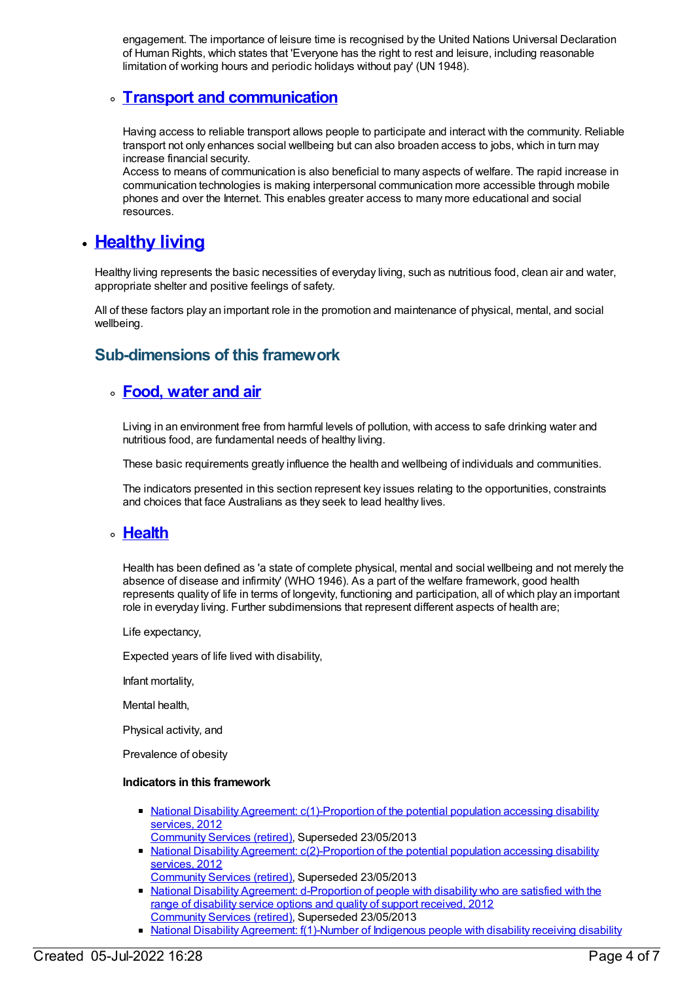engagement. The importance of leisure time is recognised by the United Nations Universal Declaration of Human Rights, which states that 'Everyone has the right to rest and leisure, including reasonable limitation of working hours and periodic holidays without pay' (UN 1948).

## **Transport and [communication](https://meteor.aihw.gov.au/content/392704)**

Having access to reliable transport allows people to participate and interact with the community. Reliable transport not only enhances social wellbeing but can also broaden access to jobs, which in turn may increase financial security.

Access to means of communication is also beneficial to many aspects of welfare. The rapid increase in communication technologies is making interpersonal communication more accessible through mobile phones and over the Internet. This enables greater access to many more educational and social resources.

## **[Healthy](https://meteor.aihw.gov.au/content/392698) living**

Healthy living represents the basic necessities of everyday living, such as nutritious food, clean air and water, appropriate shelter and positive feelings of safety.

All of these factors play an important role in the promotion and maintenance of physical, mental, and social wellbeing.

## **Sub-dimensions of this framework**

### **Food, [water](https://meteor.aihw.gov.au/content/392702) and air**

Living in an environment free from harmful levels of pollution, with access to safe drinking water and nutritious food, are fundamental needs of healthy living.

These basic requirements greatly influence the health and wellbeing of individuals and communities.

The indicators presented in this section represent key issues relating to the opportunities, constraints and choices that face Australians as they seek to lead healthy lives.

### **[Health](https://meteor.aihw.gov.au/content/392701)**

Health has been defined as 'a state of complete physical, mental and social wellbeing and not merely the absence of disease and infirmity' (WHO 1946). As a part of the welfare framework, good health represents quality of life in terms of longevity, functioning and participation, all of which play an important role in everyday living. Further subdimensions that represent different aspects of health are;

Life expectancy,

Expected years of life lived with disability,

Infant mortality,

Mental health,

Physical activity, and

Prevalence of obesity

#### **Indicators in this framework**

- National Disability Agreement: [c\(1\)-Proportion](https://meteor.aihw.gov.au/content/467916) of the potential population accessing disability services, 2012
- [Community](https://meteor.aihw.gov.au/RegistrationAuthority/1) Services (retired), Superseded 23/05/2013
- National Disability Agreement: [c\(2\)-Proportion](https://meteor.aihw.gov.au/content/467932) of the potential population accessing disability services, 2012
- [Community](https://meteor.aihw.gov.au/RegistrationAuthority/1) Services (retired), Superseded 23/05/2013 • National Disability Agreement: [d-Proportion](https://meteor.aihw.gov.au/content/467934) of people with disability who are satisfied with the range of disability service options and quality of support received, 2012 [Community](https://meteor.aihw.gov.au/RegistrationAuthority/1) Services (retired), Superseded 23/05/2013
- National Disability Agreement: [f\(1\)-Number](https://meteor.aihw.gov.au/content/467943) of Indigenous people with disability receiving disability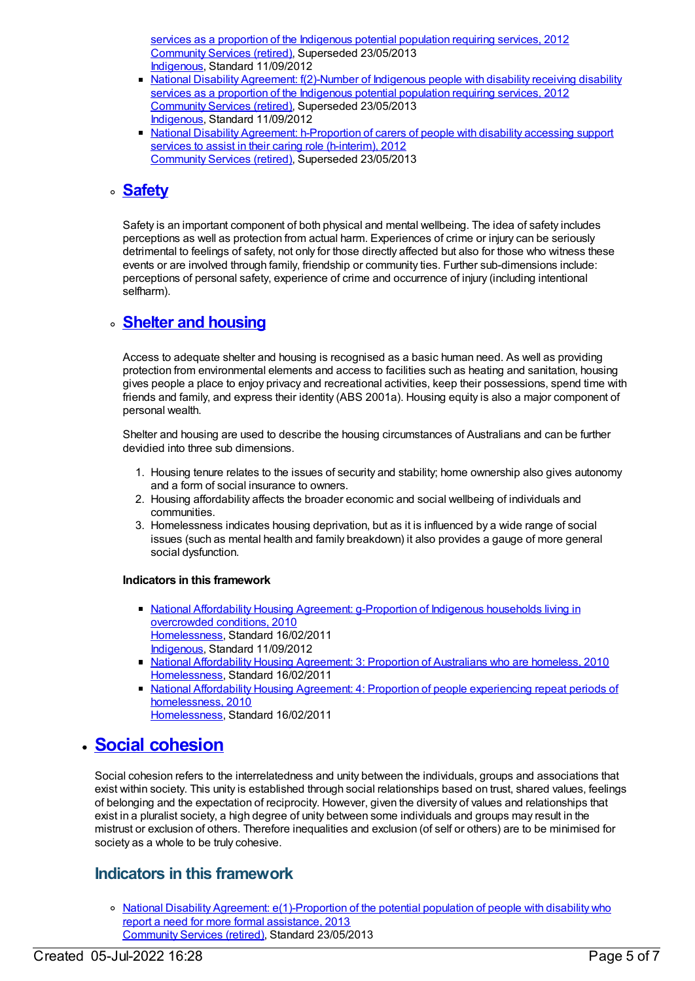services as a proportion of the Indigenous potential population requiring services, 2012 [Community](https://meteor.aihw.gov.au/RegistrationAuthority/1) Services (retired), Superseded 23/05/2013 [Indigenous](https://meteor.aihw.gov.au/RegistrationAuthority/6), Standard 11/09/2012

- National Disability Agreement: [f\(2\)-Number](https://meteor.aihw.gov.au/content/467946) of Indigenous people with disability receiving disability services as a proportion of the Indigenous potential population requiring services, 2012 [Community](https://meteor.aihw.gov.au/RegistrationAuthority/1) Services (retired), Superseded 23/05/2013 [Indigenous](https://meteor.aihw.gov.au/RegistrationAuthority/6), Standard 11/09/2012
- National Disability Agreement: [h-Proportion](https://meteor.aihw.gov.au/content/467950) of carers of people with disability accessing support services to assist in their caring role (h-interim), 2012 [Community](https://meteor.aihw.gov.au/RegistrationAuthority/1) Services (retired), Superseded 23/05/2013

## **[Safety](https://meteor.aihw.gov.au/content/392700)**

Safety is an important component of both physical and mental wellbeing. The idea of safety includes perceptions as well as protection from actual harm. Experiences of crime or injury can be seriously detrimental to feelings of safety, not only for those directly affected but also for those who witness these events or are involved through family, friendship or community ties. Further sub-dimensions include: perceptions of personal safety, experience of crime and occurrence of injury (including intentional selfharm).

## **Shelter and [housing](https://meteor.aihw.gov.au/content/392699)**

Access to adequate shelter and housing is recognised as a basic human need. As well as providing protection from environmental elements and access to facilities such as heating and sanitation, housing gives people a place to enjoy privacy and recreational activities, keep their possessions, spend time with friends and family, and express their identity (ABS 2001a). Housing equity is also a major component of personal wealth.

Shelter and housing are used to describe the housing circumstances of Australians and can be further devidied into three sub dimensions.

- 1. Housing tenure relates to the issues of security and stability; home ownership also gives autonomy and a form of social insurance to owners.
- 2. Housing affordability affects the broader economic and social wellbeing of individuals and communities.
- 3. Homelessness indicates housing deprivation, but as it is influenced by a wide range of social issues (such as mental health and family breakdown) it also provides a gauge of more general social dysfunction.

#### **Indicators in this framework**

- National Affordability Housing Agreement: [g-Proportion](https://meteor.aihw.gov.au/content/410478) of Indigenous households living in overcrowded conditions, 2010 [Homelessness](https://meteor.aihw.gov.au/RegistrationAuthority/14), Standard 16/02/2011 [Indigenous](https://meteor.aihw.gov.au/RegistrationAuthority/6), Standard 11/09/2012
- National [Affordability](https://meteor.aihw.gov.au/content/410009) Housing Agreement: 3: Proportion of Australians who are homeless, 2010 [Homelessness](https://meteor.aihw.gov.au/RegistrationAuthority/14), Standard 16/02/2011
- National Affordability Housing Agreement: 4: Proportion of people experiencing repeat periods of [homelessness,](https://meteor.aihw.gov.au/content/410450) 2010 [Homelessness](https://meteor.aihw.gov.au/RegistrationAuthority/14), Standard 16/02/2011

## **Social [cohesion](https://meteor.aihw.gov.au/content/392693)**

Social cohesion refers to the interrelatedness and unity between the individuals, groups and associations that exist within society. This unity is established through social relationships based on trust, shared values, feelings of belonging and the expectation of reciprocity. However, given the diversity of values and relationships that exist in a pluralist society, a high degree of unity between some individuals and groups may result in the mistrust or exclusion of others. Therefore inequalities and exclusion (of self or others) are to be minimised for society as a whole to be truly cohesive.

## **Indicators in this framework**

o National Disability Agreement: [e\(1\)-Proportion](https://meteor.aihw.gov.au/content/491943) of the potential population of people with disability who report a need for more formal assistance, 2013 [Community](https://meteor.aihw.gov.au/RegistrationAuthority/1) Services (retired), Standard 23/05/2013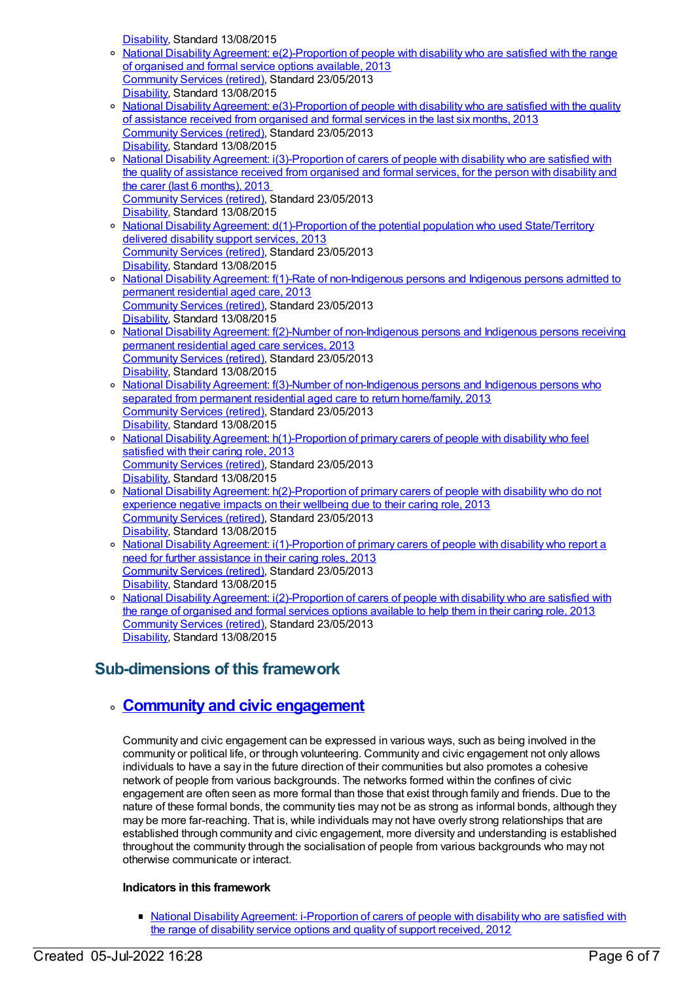[Disability](https://meteor.aihw.gov.au/RegistrationAuthority/16), Standard 13/08/2015

- National Disability Agreement: [e\(2\)-Proportion](https://meteor.aihw.gov.au/content/491945) of people with disability who are satisfied with the range of organised and formal service options available, 2013 [Community](https://meteor.aihw.gov.au/RegistrationAuthority/1) Services (retired), Standard 23/05/2013 [Disability](https://meteor.aihw.gov.au/RegistrationAuthority/16), Standard 13/08/2015
- o National Disability Agreement: [e\(3\)-Proportion](https://meteor.aihw.gov.au/content/491947) of people with disability who are satisfied with the quality of assistance received from organised and formal services in the last six months, 2013 [Community](https://meteor.aihw.gov.au/RegistrationAuthority/1) Services (retired), Standard 23/05/2013 [Disability](https://meteor.aihw.gov.au/RegistrationAuthority/16), Standard 13/08/2015
- o National Disability Agreement: [i\(3\)-Proportion](https://meteor.aihw.gov.au/content/519120) of carers of people with disability who are satisfied with the quality of assistance received from organised and formal services, for the person with disability and the carer (last 6 months), 2013 [Community](https://meteor.aihw.gov.au/RegistrationAuthority/1) Services (retired), Standard 23/05/2013 [Disability](https://meteor.aihw.gov.au/RegistrationAuthority/16), Standard 13/08/2015
- o National Disability Agreement: [d\(1\)-Proportion](https://meteor.aihw.gov.au/content/491941) of the potential population who used State/Territory delivered disability support services, 2013 [Community](https://meteor.aihw.gov.au/RegistrationAuthority/1) Services (retired), Standard 23/05/2013 [Disability](https://meteor.aihw.gov.au/RegistrationAuthority/16), Standard 13/08/2015
- o National Disability Agreement: f(1)-Rate of [non-Indigenous](https://meteor.aihw.gov.au/content/491949) persons and Indigenous persons admitted to permanent residential aged care, 2013 [Community](https://meteor.aihw.gov.au/RegistrationAuthority/1) Services (retired), Standard 23/05/2013 [Disability](https://meteor.aihw.gov.au/RegistrationAuthority/16), Standard 13/08/2015
- o National Disability Agreement: f(2)-Number of [non-Indigenous](https://meteor.aihw.gov.au/content/491951) persons and Indigenous persons receiving permanent residential aged care services, 2013 [Community](https://meteor.aihw.gov.au/RegistrationAuthority/1) Services (retired), Standard 23/05/2013 [Disability](https://meteor.aihw.gov.au/RegistrationAuthority/16), Standard 13/08/2015
- o National Disability Agreement: f(3)-Number of [non-Indigenous](https://meteor.aihw.gov.au/content/518794) persons and Indigenous persons who separated from permanent residential aged care to return home/family, 2013 [Community](https://meteor.aihw.gov.au/RegistrationAuthority/1) Services (retired), Standard 23/05/2013 [Disability](https://meteor.aihw.gov.au/RegistrationAuthority/16), Standard 13/08/2015
- National Disability Agreement: [h\(1\)-Proportion](https://meteor.aihw.gov.au/content/491960) of primary carers of people with disability who feel satisfied with their caring role, 2013 [Community](https://meteor.aihw.gov.au/RegistrationAuthority/1) Services (retired), Standard 23/05/2013 [Disability](https://meteor.aihw.gov.au/RegistrationAuthority/16), Standard 13/08/2015
- o National Disability Agreement: [h\(2\)-Proportion](https://meteor.aihw.gov.au/content/519113) of primary carers of people with disability who do not experience negative impacts on their wellbeing due to their caring role, 2013 [Community](https://meteor.aihw.gov.au/RegistrationAuthority/1) Services (retired), Standard 23/05/2013 [Disability](https://meteor.aihw.gov.au/RegistrationAuthority/16), Standard 13/08/2015
- o National Disability Agreement: [i\(1\)-Proportion](https://meteor.aihw.gov.au/content/491962) of primary carers of people with disability who report a need for further assistance in their caring roles, 2013 [Community](https://meteor.aihw.gov.au/RegistrationAuthority/1) Services (retired), Standard 23/05/2013 [Disability](https://meteor.aihw.gov.au/RegistrationAuthority/16), Standard 13/08/2015
- o National Disability Agreement: [i\(2\)-Proportion](https://meteor.aihw.gov.au/content/519118) of carers of people with disability who are satisfied with the range of organised and formal services options available to help them in their caring role, 2013 [Community](https://meteor.aihw.gov.au/RegistrationAuthority/1) Services (retired), Standard 23/05/2013 [Disability](https://meteor.aihw.gov.au/RegistrationAuthority/16), Standard 13/08/2015

## **Sub-dimensions of this framework**

## **Community and civic [engagement](https://meteor.aihw.gov.au/content/392697)**

Community and civic engagement can be expressed in various ways, such as being involved in the community or political life, or through volunteering. Community and civic engagement not only allows individuals to have a say in the future direction of their communities but also promotes a cohesive network of people from various backgrounds. The networks formed within the confines of civic engagement are often seen as more formal than those that exist through family and friends. Due to the nature of these formal bonds, the community ties may not be as strong as informal bonds, although they may be more far-reaching. That is, while individuals may not have overly strong relationships that are established through community and civic engagement, more diversity and understanding is established throughout the community through the socialisation of people from various backgrounds who may not otherwise communicate or interact.

#### **Indicators in this framework**

• National Disability Agreement: [i-Proportion](https://meteor.aihw.gov.au/content/467952) of carers of people with disability who are satisfied with the range of disability service options and quality of support received, 2012